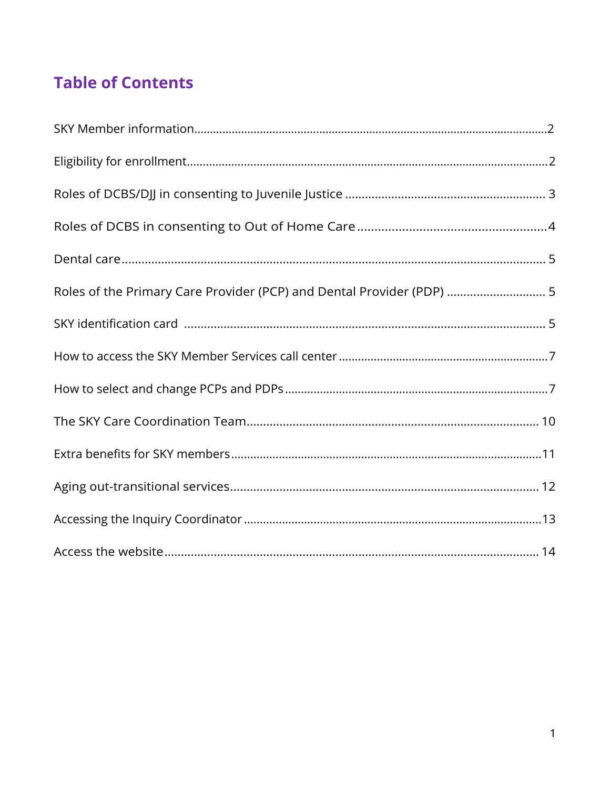# **Table of Contents**

| Roles of the Primary Care Provider (PCP) and Dental Provider (PDP)  5 |
|-----------------------------------------------------------------------|
|                                                                       |
|                                                                       |
|                                                                       |
|                                                                       |
|                                                                       |
|                                                                       |
|                                                                       |
|                                                                       |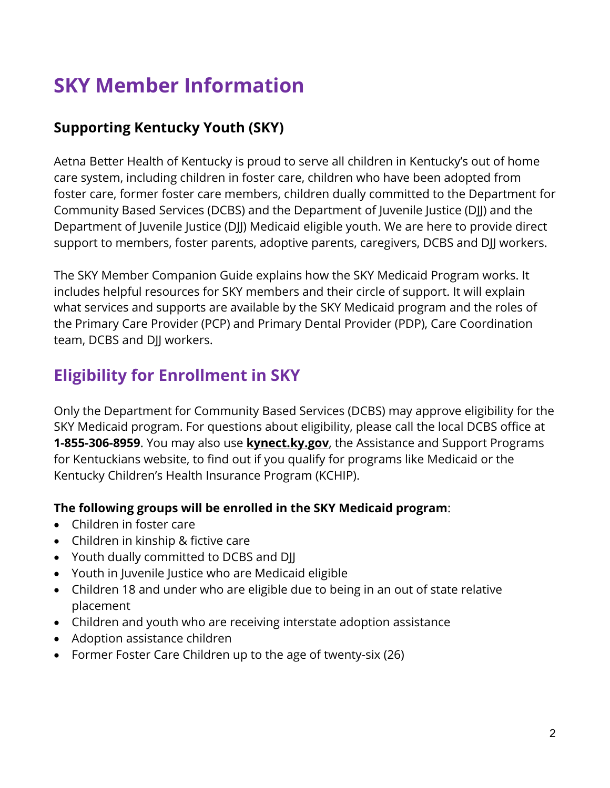# <span id="page-1-0"></span>**SKY Member Information**

### **Supporting Kentucky Youth (SKY)**

Aetna Better Health of Kentucky is proud to serve all children in Kentucky's out of home care system, including children in foster care, children who have been adopted from foster care, former foster care members, children dually committed to the Department for Community Based Services (DCBS) and the Department of Juvenile Justice (DJJ) and the Department of Juvenile Justice (DJJ) Medicaid eligible youth. We are here to provide direct support to members, foster parents, adoptive parents, caregivers, DCBS and DJJ workers.

 the Primary Care Provider (PCP) and Primary Dental Provider (PDP), Care Coordination The SKY Member Companion Guide explains how the SKY Medicaid Program works. It includes helpful resources for SKY members and their circle of support. It will explain what services and supports are available by the SKY Medicaid program and the roles of team, DCBS and DJJ workers.

# **Eligibility for Enrollment in SKY**

Only the Department for Community Based Services (DCBS) may approve eligibility for the SKY Medicaid program. For questions about eligibility, please call the local DCBS office at **1-855-306-8959**. You may also use **[kynect.ky.gov](http://kynect.ky.gov)**, the Assistance and Support Programs for Kentuckians website, to find out if you qualify for programs like Medicaid or the Kentucky Children's Health Insurance Program (KCHIP).

#### **The following groups will be enrolled in the SKY Medicaid program**:

- • Children in foster care
- • Children in kinship & fictive care
- Youth dually committed to DCBS and DJJ
- Youth in Juvenile Justice who are Medicaid eligible
- Children 18 and under who are eligible due to being in an out of state relative placement
- Children and youth who are receiving interstate adoption assistance
- Adoption assistance children
- Former Foster Care Children up to the age of twenty-six (26)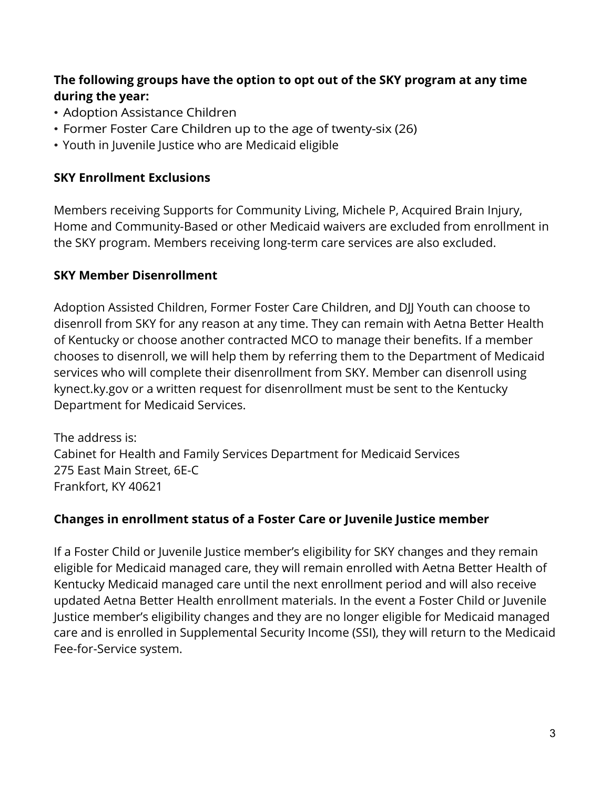#### **The following groups have the option to opt out of the SKY program at any time during the year:**

- Adoption Assistance Children
- Former Foster Care Children up to the age of twenty-six (26)
- Youth in Juvenile Justice who are Medicaid eligible

#### **SKY Enrollment Exclusions**

 Members receiving Supports for Community Living, Michele P, Acquired Brain Injury, Home and Community-Based or other Medicaid waivers are excluded from enrollment in the SKY program. Members receiving long-term care services are also excluded.

#### **SKY Member Disenrollment**

 kynect.ky.gov or a written request for disenrollment must be sent to the Kentucky Adoption Assisted Children, Former Foster Care Children, and DJJ Youth can choose to disenroll from SKY for any reason at any time. They can remain with Aetna Better Health of Kentucky or choose another contracted MCO to manage their benefits. If a member chooses to disenroll, we will help them by referring them to the Department of Medicaid services who will complete their disenrollment from SKY. Member can disenroll using Department for Medicaid Services.

The address is: Cabinet for Health and Family Services Department for Medicaid Services 275 East Main Street, 6E-C Frankfort, KY 40621

#### **Changes in enrollment status of a Foster Care or Juvenile Justice member**

 If a Foster Child or Juvenile Justice member's eligibility for SKY changes and they remain Kentucky Medicaid managed care until the next enrollment period and will also receive eligible for Medicaid managed care, they will remain enrolled with Aetna Better Health of updated Aetna Better Health enrollment materials. In the event a Foster Child or Juvenile Justice member's eligibility changes and they are no longer eligible for Medicaid managed care and is enrolled in Supplemental Security Income (SSI), they will return to the Medicaid Fee-for-Service system.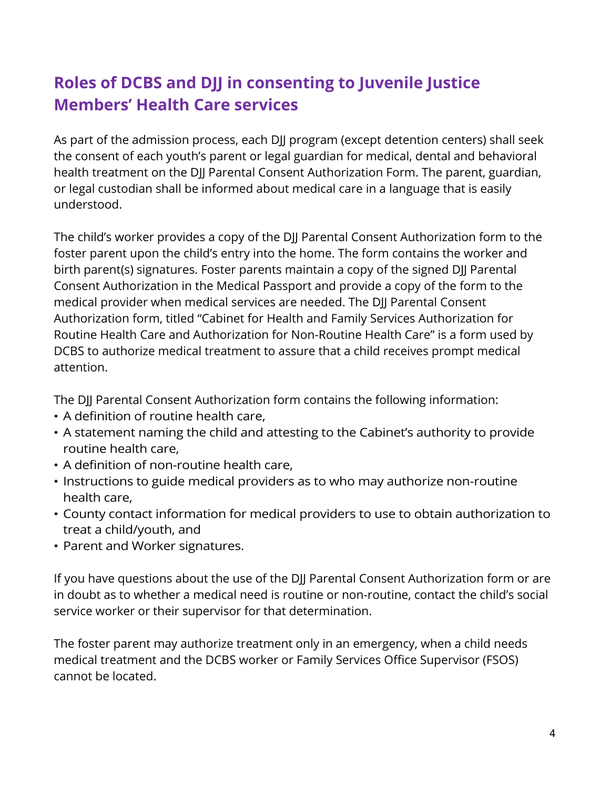# <span id="page-3-0"></span> **Roles of DCBS and DJJ in consenting to Juvenile Justice Members' Health Care services**

As part of the admission process, each DJJ program (except detention centers) shall seek the consent of each youth's parent or legal guardian for medical, dental and behavioral health treatment on the DJJ Parental Consent Authorization Form. The parent, guardian, or legal custodian shall be informed about medical care in a language that is easily understood.

The child's worker provides a copy of the DJJ Parental Consent Authorization form to the foster parent upon the child's entry into the home. The form contains the worker and birth parent(s) signatures. Foster parents maintain a copy of the signed DJJ Parental Consent Authorization in the Medical Passport and provide a copy of the form to the medical provider when medical services are needed. The DJJ Parental Consent Authorization form, titled "Cabinet for Health and Family Services Authorization for Routine Health Care and Authorization for Non-Routine Health Care" is a form used by DCBS to authorize medical treatment to assure that a child receives prompt medical attention.

The DJJ Parental Consent Authorization form contains the following information:

- A definition of routine health care,
- A statement naming the child and attesting to the Cabinet's authority to provide routine health care,
- A definition of non-routine health care,
- Instructions to guide medical providers as to who may authorize non-routine health care,
- County contact information for medical providers to use to obtain authorization to treat a child/youth, and
- Parent and Worker signatures.

 If you have questions about the use of the DJJ Parental Consent Authorization form or are in doubt as to whether a medical need is routine or non-routine, contact the child's social service worker or their supervisor for that determination.

The foster parent may authorize treatment only in an emergency, when a child needs medical treatment and the DCBS worker or Family Services Office Supervisor (FSOS) cannot be located.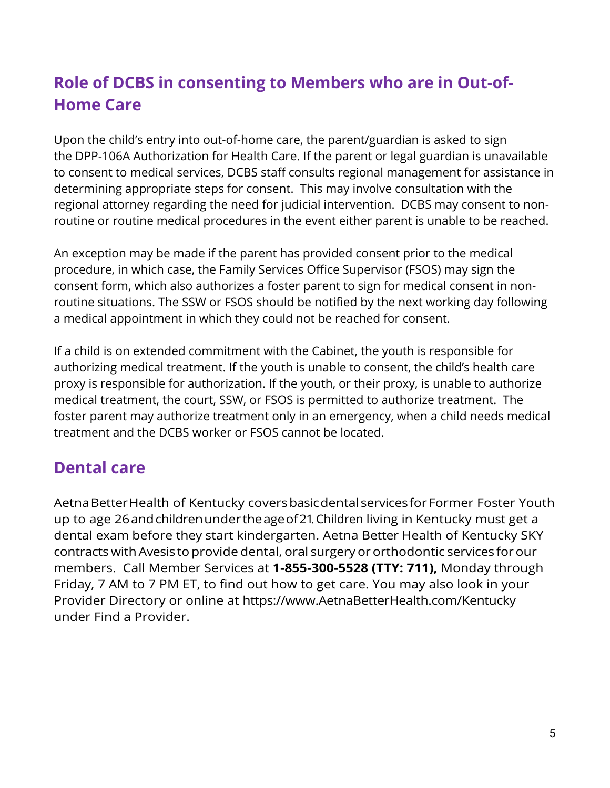# <span id="page-4-0"></span> **Role of DCBS in consenting to Members who are in Out-of- Home Care**

 determining appropriate steps for consent. This may involve consultation with the regional attorney regarding the need for judicial intervention. DCBS may consent to non-Upon the child's entry into out-of-home care, the parent/guardian is asked to sign the DPP-106A Authorization for Health Care. If the parent or legal guardian is unavailable to consent to medical services, DCBS staff consults regional management for assistance in

routine or routine medical procedures in the event either parent is unable to be reached.<br>An exception may be made if the parent has provided consent prior to the medical a medical appointment in which they could not be reached for consent. procedure, in which case, the Family Services Office Supervisor (FSOS) may sign the consent form, which also authorizes a foster parent to sign for medical consent in nonroutine situations. The SSW or FSOS should be notified by the next working day following

 If a child is on extended commitment with the Cabinet, the youth is responsible for proxy is responsible for authorization. If the youth, or their proxy, is unable to authorize  medical treatment, the court, SSW, or FSOS is permitted to authorize treatment. The foster parent may authorize treatment only in an emergency, when a child needs medical authorizing medical treatment. If the youth is unable to consent, the child's health care treatment and the DCBS worker or FSOS cannot be located.

### **Dental care**

 AetnaBetterHealth of Kentucky coversbasicdentalservicesforFormer Foster Youth up to age 26andchildrenunder theageof21. Children living in Kentucky must get a dental exam before they start kindergarten. Aetna Better Health of Kentucky SKY contracts with Avesis to provide dental, oral surgery or orthodontic services for our members. Call Member Services at **1**‑**855**‑**300**‑**5528 (TTY: 711),** Monday through Friday, 7 AM to 7 PM ET, to find out how to get care. You may also look in your Provider Directory or online at https://www.AetnaBetterHealth.com/Kentucky under Find a Provider.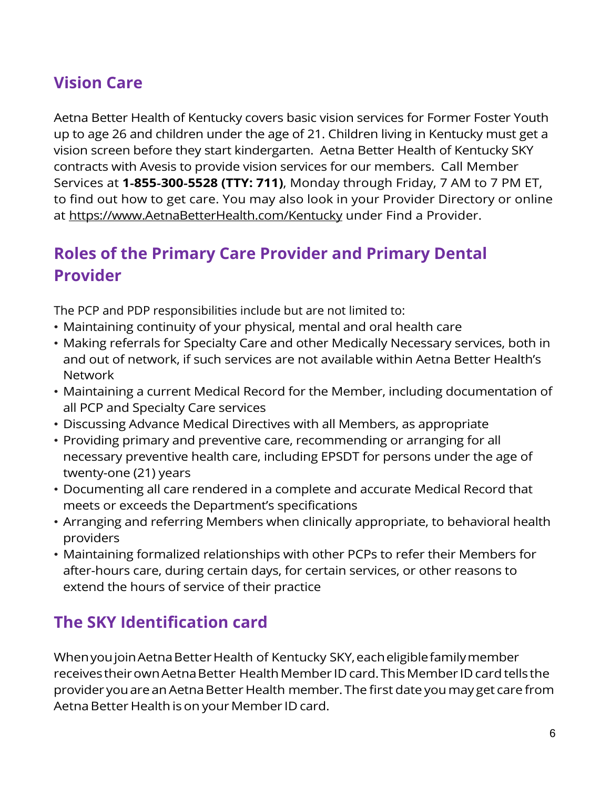# <span id="page-5-0"></span>**Vision Care**

 Aetna Better Health of Kentucky covers basic vision services for Former Foster Youth up to age 26 and children under the age of 21. Children living in Kentucky must get a vision screen before they start kindergarten. Aetna Better Health of Kentucky SKY contracts with Avesis to provide vision services for our members. Call Member Services at **1**‑**855**‑**300**‑**5528 (TTY: 711)**, Monday through Friday, 7 AM to 7 PM ET, to find out how to get care. You may also look in your Provider Directory or online at [https://www.AetnaBetterHealth.com/Kentucky](https://www.aetnabetterhealth.com/Kentucky) under Find a Provider.

### **Roles of the Primary Care Provider and Primary Dental Provider**

The PCP and PDP responsibilities include but are not limited to:

- Maintaining continuity of your physical, mental and oral health care
- and out of network, if such services are not available within Aetna Better Health's • Making referrals for Specialty Care and other Medically Necessary services, both in Network
- Maintaining a current Medical Record for the Member, including documentation of all PCP and Specialty Care services
- Discussing Advance Medical Directives with all Members, as appropriate
- Providing primary and preventive care, recommending or arranging for all necessary preventive health care, including EPSDT for persons under the age of twenty-one (21) years
- Documenting all care rendered in a complete and accurate Medical Record that meets or exceeds the Department's specifications
- Arranging and referring Members when clinically appropriate, to behavioral health providers
- Maintaining formalized relationships with other PCPs to refer their Members for after-hours care, during certain days, for certain services, or other reasons to extend the hours of service of their practice

# **The SKY Identification card**

 WhenyoujoinAetnaBetterHealth of Kentucky SKY,eacheligiblefamilymember receives their own Aetna Better Health Member ID card. This Member ID card tells the provider you are an Aetna Better Health member. The first date you may get care from Aetna Better Health is on your Member ID card.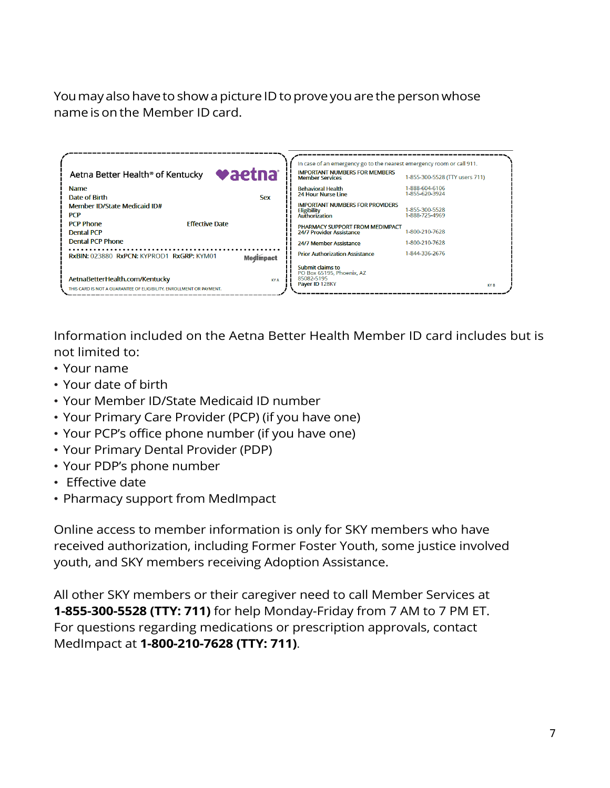You may also have to show a picture ID to prove you are the person whose name is on the Member ID card.

| <b>vaetna</b><br>Aetna Better Health <sup>®</sup> of Kentucky                                                       | In case of an emergency go to the nearest emergency room or call 911.<br><b>IMPORTANT NUMBERS FOR MEMBERS</b><br>1-855-300-5528 (TTY users 711)<br><b>Member Services</b> |
|---------------------------------------------------------------------------------------------------------------------|---------------------------------------------------------------------------------------------------------------------------------------------------------------------------|
| <b>Name</b><br>Date of Birth<br><b>Sex</b>                                                                          | 1-888-604-6106<br><b>Behavioral Health</b><br>1-855-620-3924<br><b>24 Hour Nurse Line</b>                                                                                 |
| Member ID/State Medicaid ID#<br><b>PCP</b>                                                                          | <b>IMPORTANT NUMBERS FOR PROVIDERS</b><br>1-855-300-5528<br><b>Eligibility</b><br>1-888-725-4969<br><b>Authorization</b>                                                  |
| <b>Effective Date</b><br><b>PCP Phone</b><br><b>Dental PCP</b>                                                      | PHARMACY SUPPORT FROM MEDIMPACT<br>1-800-210-7628<br>24/7 Provider Assistance                                                                                             |
| Dental PCP Phone                                                                                                    | 1-800-210-7628<br>24/7 Member Assistance                                                                                                                                  |
| RxBIN: 023880 RxPCN: KYPROD1 RxGRP: KYM01<br><b>Medimpact</b>                                                       | 1-844-336-2676<br><b>Prior Authorization Assistance</b>                                                                                                                   |
| AetnaBetterHealth.com/Kentucky<br><b>KYA</b><br>THIS CARD IS NOT A GUARANTEE OF ELIGIBILITY. ENROLLMENT OR PAYMENT. | Submit claims to<br>PO Box 65195, Phoenix, AZ<br>85082-5195<br>Paver ID 128KY<br>KY B                                                                                     |

 Information included on the Aetna Better Health Member ID card includes but is not limited to:

- Your name
- Your date of birth
- Your Member ID/State Medicaid ID number
- Your Primary Care Provider (PCP) (if you have one)
- Your PCP's office phone number (if you have one)
- Your Primary Dental Provider (PDP)
- Your PDP's phone number
- Effective date
- Pharmacy support from MedImpact

 Online access to member information is only for SKY members who have received authorization, including Former Foster Youth, some justice involved youth, and SKY members receiving Adoption Assistance.

 All other SKY members or their caregiver need to call Member Services at **1-855-300-5528 (TTY: 711)** for help Monday-Friday from 7 AM to 7 PM ET. For questions regarding medications or prescription approvals, contact MedImpact at **1-800-210-7628 (TTY: 711)**.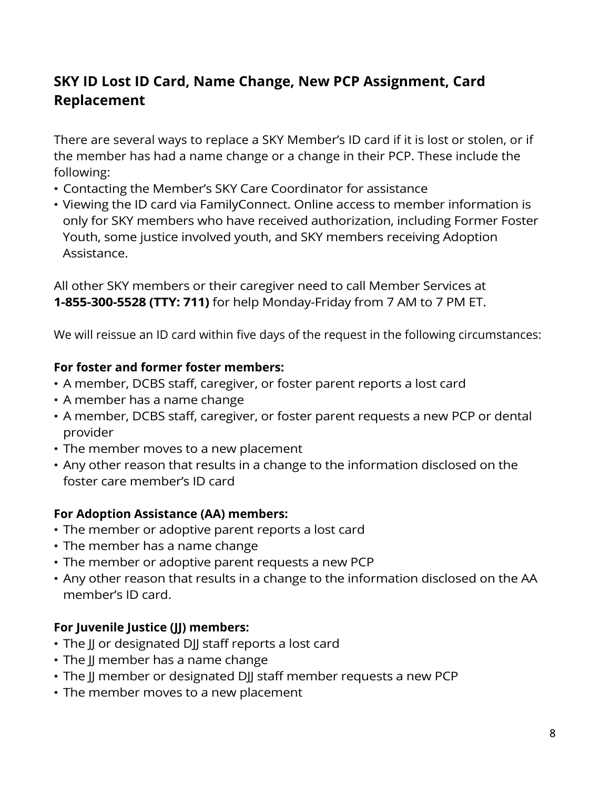### **SKY ID Lost ID Card, Name Change, New PCP Assignment, Card Replacement**

 There are several ways to replace a SKY Member's ID card if it is lost or stolen, or if following: the member has had a name change or a change in their PCP. These include the

- Contacting the Member's SKY Care Coordinator for assistance
- • Viewing the ID card via FamilyConnect. Online access to member information is only for SKY members who have received authorization, including Former Foster Youth, some justice involved youth, and SKY members receiving Adoption Assistance.

 **1-855-300-5528 (TTY: 711)** for help Monday-Friday from 7 AM to 7 PM ET. All other SKY members or their caregiver need to call Member Services at

We will reissue an ID card within five days of the request in the following circumstances:

#### **For foster and former foster members:**

- A member, DCBS staff, caregiver, or foster parent reports a lost card
- A member has a name change
- A member, DCBS staff, caregiver, or foster parent requests a new PCP or dental provider
- The member moves to a new placement
- Any other reason that results in a change to the information disclosed on the foster care member's ID card

#### **For Adoption Assistance (AA) members:**

- The member or adoptive parent reports a lost card
- The member has a name change
- The member or adoptive parent requests a new PCP
- Any other reason that results in a change to the information disclosed on the AA member's ID card.

#### **For Juvenile Justice (JJ) members:**

- The JJ or designated DJJ staff reports a lost card
- The JJ member has a name change
- The JJ member or designated DJJ staff member requests a new PCP
- The member moves to a new placement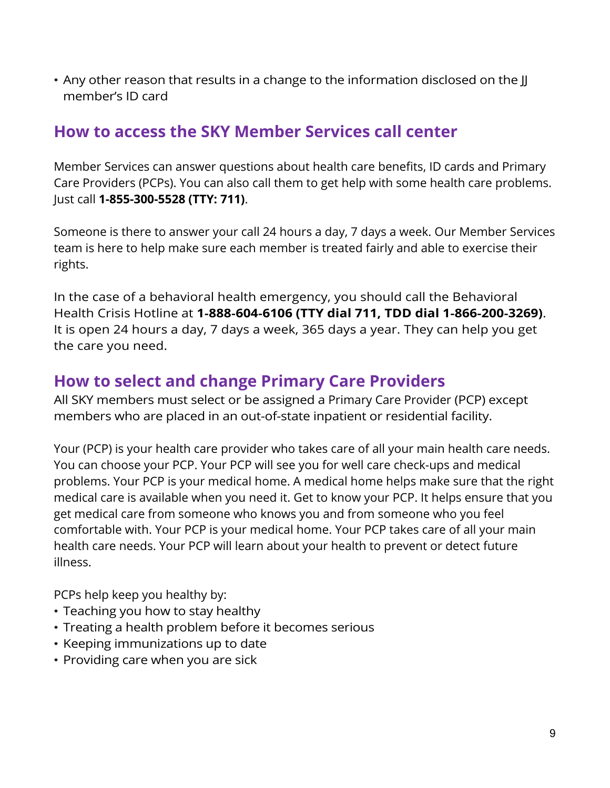<span id="page-8-0"></span>• Any other reason that results in a change to the information disclosed on the JJ member's ID card

### **How to access the SKY Member Services call center**

Member Services can answer questions about health care benefits, ID cards and Primary Care Providers (PCPs). You can also call them to get help with some health care problems. Just call **1-855-300-5528 (TTY: 711)**.

Someone is there to answer your call 24 hours a day, 7 days a week. Our Member Services team is here to help make sure each member is treated fairly and able to exercise their rights.

 In the case of a behavioral health emergency, you should call the Behavioral Health Crisis Hotline at **1**‑**888**‑**604**‑**6106 (TTY dial 711, TDD dial 1**‑**866**‑**200**‑**3269)**. It is open 24 hours a day, 7 days a week, 365 days a year. They can help you get the care you need.

### **How to select and change Primary Care Providers**

 All SKY members must select or be assigned a Primary Care Provider (PCP) except members who are placed in an out-of-state inpatient or residential facility.

Your (PCP) is your health care provider who takes care of all your main health care needs. You can choose your PCP. Your PCP will see you for well care check-ups and medical problems. Your PCP is your medical home. A medical home helps make sure that the right medical care is available when you need it. Get to know your PCP. It helps ensure that you get medical care from someone who knows you and from someone who you feel comfortable with. Your PCP is your medical home. Your PCP takes care of all your main health care needs. Your PCP will learn about your health to prevent or detect future illness.

PCPs help keep you healthy by:

- Teaching you how to stay healthy
- Treating a health problem before it becomes serious
- Keeping immunizations up to date
- Providing care when you are sick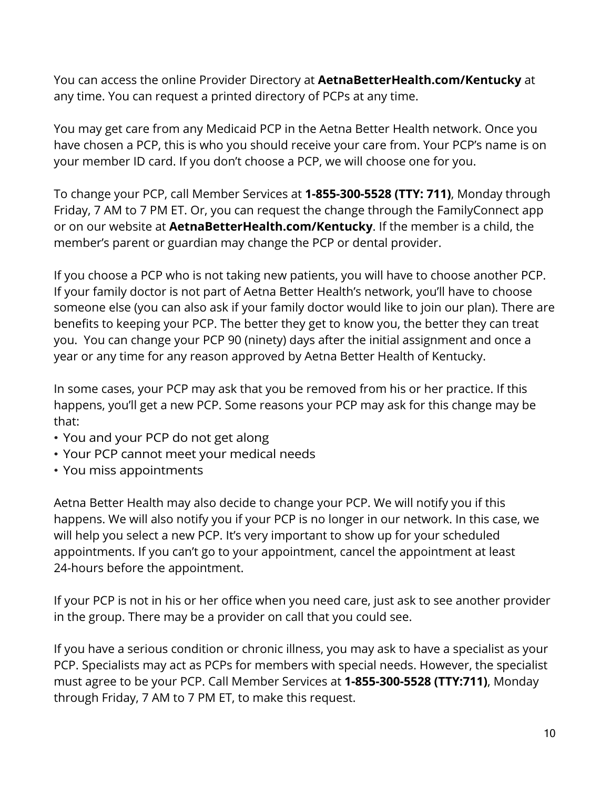any time. You can request a printed directory of PCPs at any time. You can access the online Provider Directory at **[AetnaBetterHealth.com/Kentucky](http://AetnaBetterHealth.com/Kentucky)** at

 have chosen a PCP, this is who you should receive your care from. Your PCP's name is on You may get care from any Medicaid PCP in the Aetna Better Health network. Once you your member ID card. If you don't choose a PCP, we will choose one for you.

To change your PCP, call Member Services at **1-855-300-5528 (TTY: 711)**, Monday through Friday, 7 AM to 7 PM ET. Or, you can request the change through the FamilyConnect app or on our website at **[AetnaBetterHealth.com/Kentucky](http://AetnaBetterHealth.com/Kentucky)**. If the member is a child, the member's parent or guardian may change the PCP or dental provider.

 If you choose a PCP who is not taking new patients, you will have to choose another PCP. If your family doctor is not part of Aetna Better Health's network, you'll have to choose benefits to keeping your PCP. The better they get to know you, the better they can treat you. You can change your PCP 90 (ninety) days after the initial assignment and once a someone else (you can also ask if your family doctor would like to join our plan). There are year or any time for any reason approved by Aetna Better Health of Kentucky.

 In some cases, your PCP may ask that you be removed from his or her practice. If this happens, you'll get a new PCP. Some reasons your PCP may ask for this change may be that:

- You and your PCP do not get along
- Your PCP cannot meet your medical needs
- You miss appointments

Aetna Better Health may also decide to change your PCP. We will notify you if this happens. We will also notify you if your PCP is no longer in our network. In this case, we will help you select a new PCP. It's very important to show up for your scheduled appointments. If you can't go to your appointment, cancel the appointment at least 24-hours before the appointment.

 If your PCP is not in his or her office when you need care, just ask to see another provider in the group. There may be a provider on call that you could see.

 must agree to be your PCP. Call Member Services at **1-855-300-5528 (TTY:711)**, Monday If you have a serious condition or chronic illness, you may ask to have a specialist as your PCP. Specialists may act as PCPs for members with special needs. However, the specialist through Friday, 7 AM to 7 PM ET, to make this request.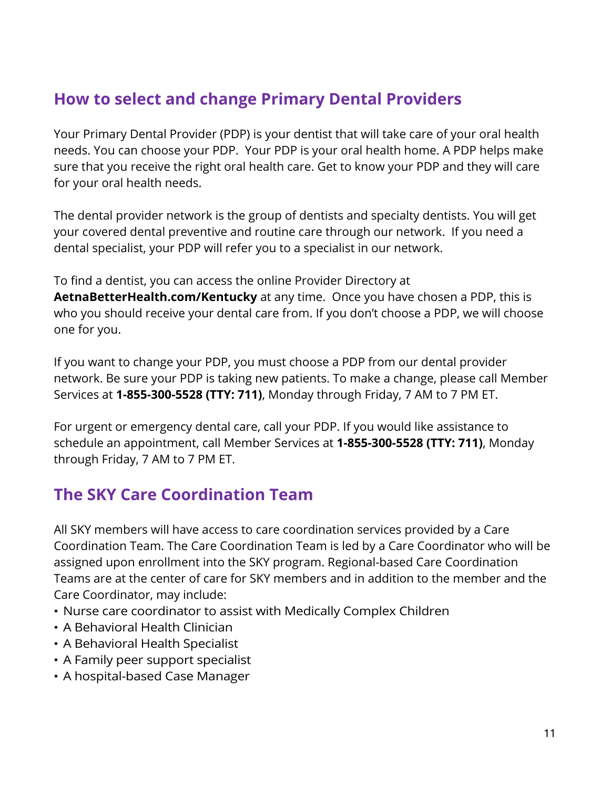### <span id="page-10-0"></span> **How to select and change Primary Dental Providers**

 needs. You can choose your PDP. Your PDP is your oral health home. A PDP helps make Your Primary Dental Provider (PDP) is your dentist that will take care of your oral health sure that you receive the right oral health care. Get to know your PDP and they will care for your oral health needs.

 your covered dental preventive and routine care through our network. If you need a The dental provider network is the group of dentists and specialty dentists. You will get dental specialist, your PDP will refer you to a specialist in our network.

To find a dentist, you can access the online Provider Directory at **[AetnaBetterHealth.com/Kentucky](http://AetnaBetterHealth.com/Kentucky)** at any time. Once you have chosen a PDP, this is who you should receive your dental care from. If you don't choose a PDP, we will choose one for you.

If you want to change your PDP, you must choose a PDP from our dental provider network. Be sure your PDP is taking new patients. To make a change, please call Member Services at **1-855-300-5528 (TTY: 711)**, Monday through Friday, 7 AM to 7 PM ET.

For urgent or emergency dental care, call your PDP. If you would like assistance to schedule an appointment, call Member Services at **1-855-300-5528 (TTY: 711)**, Monday through Friday, 7 AM to 7 PM ET.

### **The SKY Care Coordination Team**

 Coordination Team. The Care Coordination Team is led by a Care Coordinator who will be All SKY members will have access to care coordination services provided by a Care assigned upon enrollment into the SKY program. Regional-based Care Coordination Teams are at the center of care for SKY members and in addition to the member and the Care Coordinator, may include:

- Nurse care coordinator to assist with Medically Complex Children
- A Behavioral Health Clinician
- A Behavioral Health Specialist
- A Family peer support specialist
- A hospital-based Case Manager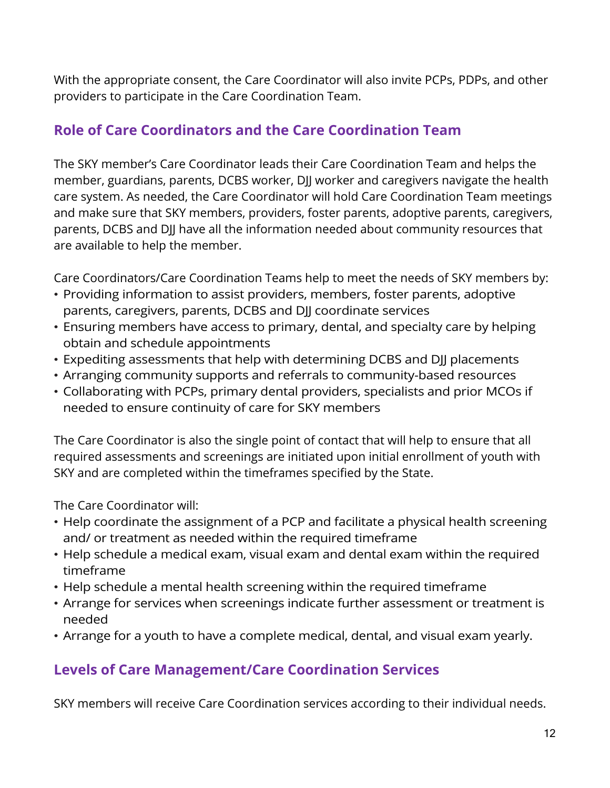providers to participate in the Care Coordination Team. With the appropriate consent, the Care Coordinator will also invite PCPs, PDPs, and other

### **Role of Care Coordinators and the Care Coordination Team**

 The SKY member's Care Coordinator leads their Care Coordination Team and helps the member, guardians, parents, DCBS worker, DJJ worker and caregivers navigate the health care system. As needed, the Care Coordinator will hold Care Coordination Team meetings and make sure that SKY members, providers, foster parents, adoptive parents, caregivers, parents, DCBS and DJJ have all the information needed about community resources that are available to help the member.

Care Coordinators/Care Coordination Teams help to meet the needs of SKY members by:

- parents, caregivers, parents, DCBS and DJJ coordinate services • Providing information to assist providers, members, foster parents, adoptive
- • Ensuring members have access to primary, dental, and specialty care by helping obtain and schedule appointments
- Expediting assessments that help with determining DCBS and DJJ placements
- Arranging community supports and referrals to community-based resources
- Collaborating with PCPs, primary dental providers, specialists and prior MCOs if needed to ensure continuity of care for SKY members

 required assessments and screenings are initiated upon initial enrollment of youth with SKY and are completed within the timeframes specified by the State. The Care Coordinator is also the single point of contact that will help to ensure that all

The Care Coordinator will:

- • Help coordinate the assignment of a PCP and facilitate a physical health screening and/ or treatment as needed within the required timeframe
- • Help schedule a medical exam, visual exam and dental exam within the required timeframe
- Help schedule a mental health screening within the required timeframe
- Arrange for services when screenings indicate further assessment or treatment is needed
- Arrange for a youth to have a complete medical, dental, and visual exam yearly.

### **Levels of Care Management/Care Coordination Services**

SKY members will receive Care Coordination services according to their individual needs.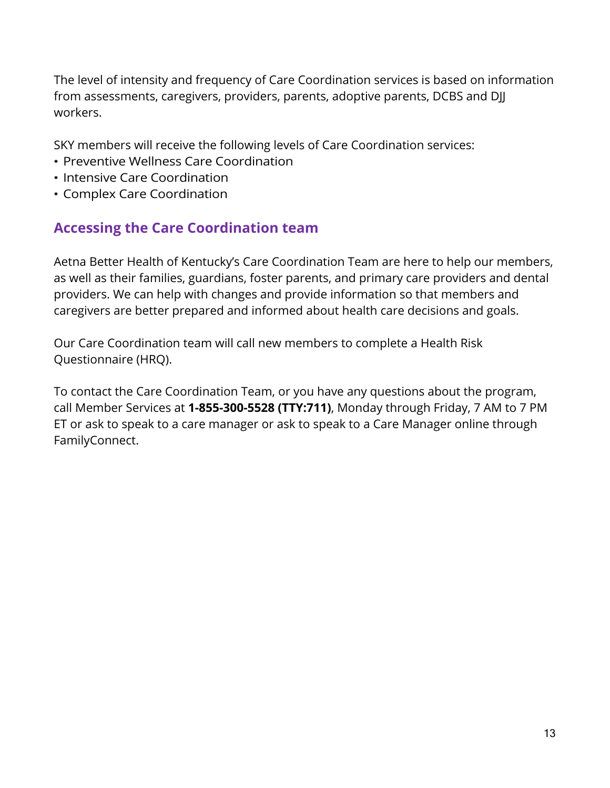The level of intensity and frequency of Care Coordination services is based on information from assessments, caregivers, providers, parents, adoptive parents, DCBS and DJJ workers.

SKY members will receive the following levels of Care Coordination services:

- Preventive Wellness Care Coordination
- Intensive Care Coordination
- Complex Care Coordination

### **Accessing the Care Coordination team**

Aetna Better Health of Kentucky's Care Coordination Team are here to help our members, as well as their families, guardians, foster parents, and primary care providers and dental providers. We can help with changes and provide information so that members and caregivers are better prepared and informed about health care decisions and goals.

 Questionnaire (HRQ). Our Care Coordination team will call new members to complete a Health Risk

 call Member Services at **1-855-300-5528 (TTY:711)**, Monday through Friday, 7 AM to 7 PM To contact the Care Coordination Team, or you have any questions about the program, ET or ask to speak to a care manager or ask to speak to a Care Manager online through FamilyConnect.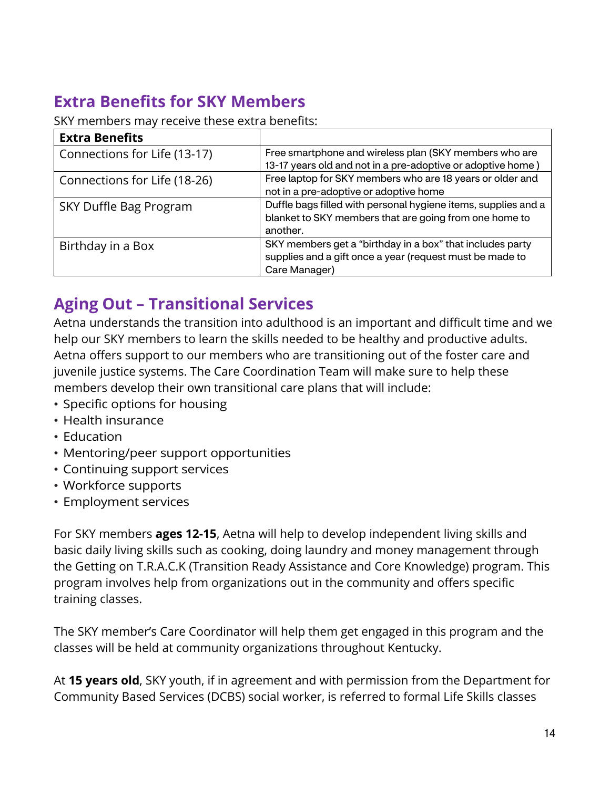# <span id="page-13-0"></span> **Extra Benefits for SKY Members**

SKY members may receive these extra benefits:

| <b>Extra Benefits</b>        |                                                                |
|------------------------------|----------------------------------------------------------------|
| Connections for Life (13-17) | Free smartphone and wireless plan (SKY members who are         |
|                              | 13-17 years old and not in a pre-adoptive or adoptive home)    |
| Connections for Life (18-26) | Free laptop for SKY members who are 18 years or older and      |
|                              | not in a pre-adoptive or adoptive home                         |
| SKY Duffle Bag Program       | Duffle bags filled with personal hygiene items, supplies and a |
|                              | blanket to SKY members that are going from one home to         |
|                              | another.                                                       |
| Birthday in a Box            | SKY members get a "birthday in a box" that includes party      |
|                              | supplies and a gift once a year (request must be made to       |
|                              | Care Manager)                                                  |

### **Aging Out – Transitional Services**

 Aetna understands the transition into adulthood is an important and difficult time and we help our SKY members to learn the skills needed to be healthy and productive adults. Aetna offers support to our members who are transitioning out of the foster care and juvenile justice systems. The Care Coordination Team will make sure to help these members develop their own transitional care plans that will include:

- Specific options for housing
- Health insurance
- Education
- Mentoring/peer support opportunities
- Continuing support services
- Workforce supports
- Employment services

training classes. For SKY members **ages 12-15**, Aetna will help to develop independent living skills and basic daily living skills such as cooking, doing laundry and money management through the Getting on T.R.A.C.K (Transition Ready Assistance and Core Knowledge) program. This program involves help from organizations out in the community and offers specific

The SKY member's Care Coordinator will help them get engaged in this program and the classes will be held at community organizations throughout Kentucky.

At **15 years old**, SKY youth, if in agreement and with permission from the Department for Community Based Services (DCBS) social worker, is referred to formal Life Skills classes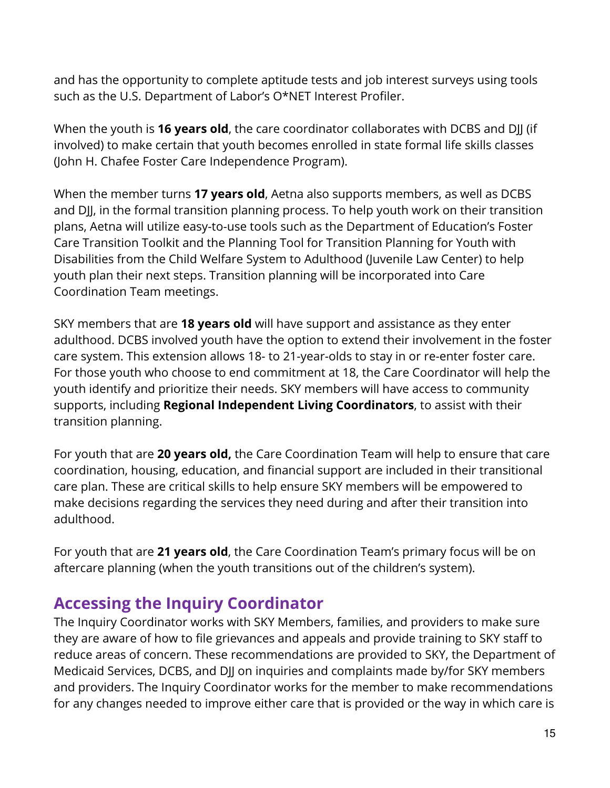<span id="page-14-0"></span>and has the opportunity to complete aptitude tests and job interest surveys using tools such as the U.S. Department of Labor's O\*NET Interest Profiler.

 When the youth is **16 years old**, the care coordinator collaborates with DCBS and DJJ (if involved) to make certain that youth becomes enrolled in state formal life skills classes (John H. Chafee Foster Care Independence Program).

 Care Transition Toolkit and the Planning Tool for Transition Planning for Youth with When the member turns **17 years old**, Aetna also supports members, as well as DCBS and DJJ, in the formal transition planning process. To help youth work on their transition plans, Aetna will utilize easy-to-use tools such as the Department of Education's Foster Disabilities from the Child Welfare System to Adulthood (Juvenile Law Center) to help youth plan their next steps. Transition planning will be incorporated into Care Coordination Team meetings.

 For those youth who choose to end commitment at 18, the Care Coordinator will help the SKY members that are **18 years old** will have support and assistance as they enter adulthood. DCBS involved youth have the option to extend their involvement in the foster care system. This extension allows 18- to 21-year-olds to stay in or re-enter foster care. youth identify and prioritize their needs. SKY members will have access to community supports, including **Regional Independent Living Coordinators**, to assist with their transition planning.

For youth that are **20 years old,** the Care Coordination Team will help to ensure that care coordination, housing, education, and financial support are included in their transitional care plan. These are critical skills to help ensure SKY members will be empowered to make decisions regarding the services they need during and after their transition into adulthood.

 For youth that are **21 years old**, the Care Coordination Team's primary focus will be on aftercare planning (when the youth transitions out of the children's system).

### **Accessing the Inquiry Coordinator**

 The Inquiry Coordinator works with SKY Members, families, and providers to make sure they are aware of how to file grievances and appeals and provide training to SKY staff to reduce areas of concern. These recommendations are provided to SKY, the Department of Medicaid Services, DCBS, and DJJ on inquiries and complaints made by/for SKY members and providers. The Inquiry Coordinator works for the member to make recommendations for any changes needed to improve either care that is provided or the way in which care is